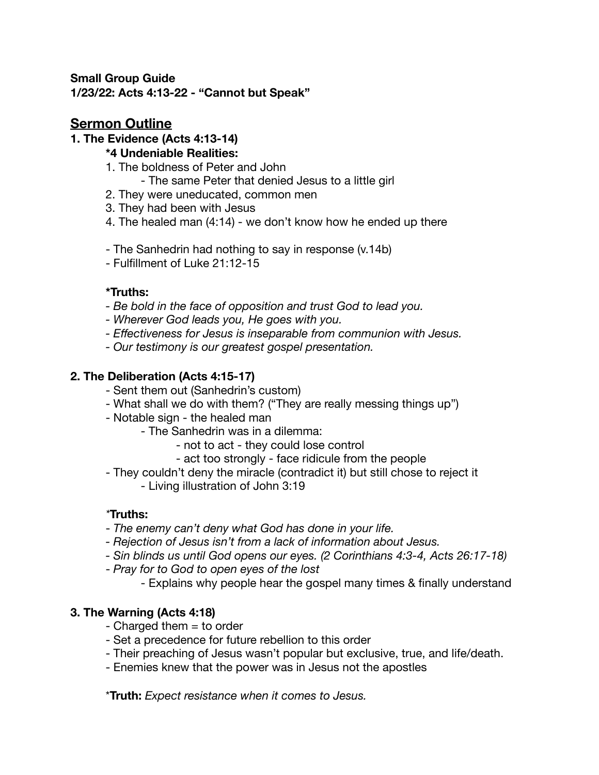#### **Small Group Guide 1/23/22: Acts 4:13-22 - "Cannot but Speak"**

# **Sermon Outline**

### **1. The Evidence (Acts 4:13-14)**

### **\*4 Undeniable Realities:**

- 1. The boldness of Peter and John
	- The same Peter that denied Jesus to a little girl
- 2. They were uneducated, common men
- 3. They had been with Jesus
- 4. The healed man (4:14) we don't know how he ended up there
- The Sanhedrin had nothing to say in response (v.14b)
- Fulfillment of Luke 21:12-15

## **\*Truths:**

- *Be bold in the face of opposition and trust God to lead you.*
- *Wherever God leads you, He goes with you.*
- *Effectiveness for Jesus is inseparable from communion with Jesus.*
- *Our testimony is our greatest gospel presentation.*

## **2. The Deliberation (Acts 4:15-17)**

- Sent them out (Sanhedrin's custom)
- What shall we do with them? ("They are really messing things up")
- Notable sign the healed man
	- The Sanhedrin was in a dilemma:
		- not to act they could lose control
		- act too strongly face ridicule from the people
- They couldn't deny the miracle (contradict it) but still chose to reject it
	- Living illustration of John 3:19

## *\****Truths:**

- *The enemy can't deny what God has done in your life.*
- *Rejection of Jesus isn't from a lack of information about Jesus.*
- *Sin blinds us until God opens our eyes. (2 Corinthians 4:3-4, Acts 26:17-18)*
- *Pray for to God to open eyes of the lost* 
	- Explains why people hear the gospel many times & finally understand

### **3. The Warning (Acts 4:18)**

- $-$  Charged them  $=$  to order
- Set a precedence for future rebellion to this order
- Their preaching of Jesus wasn't popular but exclusive, true, and life/death.
- Enemies knew that the power was in Jesus not the apostles

\***Truth:** *Expect resistance when it comes to Jesus.*